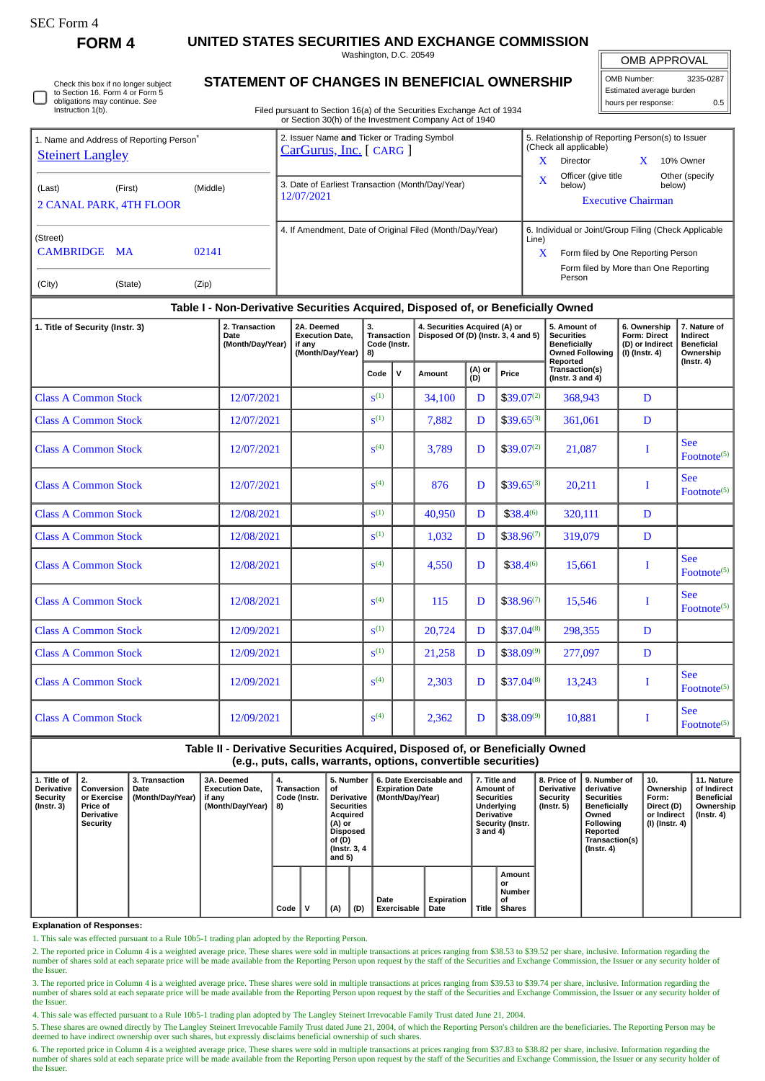| SEC Form- |
|-----------|
|-----------|

**FORM 4 UNITED STATES SECURITIES AND EXCHANGE COMMISSION**

Washington, D.C. 20549

OMB APPROVAL

| OMB Number:              | 3235-0287 |  |  |  |  |  |  |  |  |
|--------------------------|-----------|--|--|--|--|--|--|--|--|
| Estimated average burden |           |  |  |  |  |  |  |  |  |
| hours per response:      | 05        |  |  |  |  |  |  |  |  |

Check this box if no longer subject to Section 16. Form 4 or Form 5 obligations may continue. *See* Instruction 1(b).

## **STATEMENT OF CHANGES IN BENEFICIAL OWNERSHIP**

Filed pursuant to Section 16(a) of the Securities Exchange Act of 1934 or Section 30(h) of the Investment Company Act of 1940

| 1. Name and Address of Reporting Person <sup>®</sup>                             |                | 2. Issuer Name and Ticker or Trading Symbol<br>CarGurus, Inc. [ CARG ] |    |                                                          | 5. Relationship of Reporting Person(s) to Issuer<br>(Check all applicable) |                                                       |                           |        |                |  |  |
|----------------------------------------------------------------------------------|----------------|------------------------------------------------------------------------|----|----------------------------------------------------------|----------------------------------------------------------------------------|-------------------------------------------------------|---------------------------|--------|----------------|--|--|
| <b>Steinert Langley</b>                                                          |                |                                                                        |    |                                                          | x                                                                          | Director                                              |                           |        | 10% Owner      |  |  |
| (Middle)<br>(Last)<br>(First)<br><b>2 CANAL PARK, 4TH FLOOR</b>                  |                | 3. Date of Earliest Transaction (Month/Day/Year)<br>12/07/2021         |    |                                                          | $\overline{\mathbf{X}}$                                                    | Officer (give title<br>below)                         | <b>Executive Chairman</b> | below) | Other (specify |  |  |
| (Street)                                                                         |                |                                                                        |    | 4. If Amendment, Date of Original Filed (Month/Day/Year) | Line)                                                                      | 6. Individual or Joint/Group Filing (Check Applicable |                           |        |                |  |  |
| CAMBRIDGE MA<br>02141                                                            |                |                                                                        |    |                                                          | X                                                                          | Form filed by One Reporting Person                    |                           |        |                |  |  |
| (City)<br>(Zip)<br>(State)                                                       |                |                                                                        |    |                                                          |                                                                            | Form filed by More than One Reporting<br>Person       |                           |        |                |  |  |
| Table I - Non-Derivative Securities Acquired, Disposed of, or Beneficially Owned |                |                                                                        |    |                                                          |                                                                            |                                                       |                           |        |                |  |  |
| 1. Title of Security (Instr. 3)                                                  | 2. Transaction | 2A. Deemed                                                             | 3. | 4. Securities Acquired (A) or                            | 6. Ownership                                                               |                                                       | 7. Nature of              |        |                |  |  |

|                             | Date<br>(Month/Day/Year) | <b>Execution Date,</b><br>if anv<br>(Month/Day/Year) | 8)                 | Disposed Of (D) (Instr. 3, 4 and 5)<br>Transaction<br>Code (Instr. |        | <b>Securities</b><br><b>Beneficially</b><br><b>Owned Following</b> | Form: Direct<br>(D) or Indirect<br>(I) (Instr. 4) | Indirect<br><b>Beneficial</b><br>Ownership<br>$($ Instr. 4 $)$ |   |                                        |
|-----------------------------|--------------------------|------------------------------------------------------|--------------------|--------------------------------------------------------------------|--------|--------------------------------------------------------------------|---------------------------------------------------|----------------------------------------------------------------|---|----------------------------------------|
|                             |                          |                                                      | Code               | $\mathsf{v}$                                                       | Amount | (A) or<br>(D)                                                      | Price                                             | Reported<br>Transaction(s)<br>(Instr. $3$ and $4$ )            |   |                                        |
| <b>Class A Common Stock</b> | 12/07/2021               |                                                      | S <sup>(1)</sup>   |                                                                    | 34,100 | D                                                                  | $$39.07^{(2)}$                                    | 368,943                                                        | D |                                        |
| <b>Class A Common Stock</b> | 12/07/2021               |                                                      | $\mathbf{S}^{(1)}$ |                                                                    | 7,882  | D                                                                  | $$39.65^{(3)}$                                    | 361,061                                                        | D |                                        |
| <b>Class A Common Stock</b> | 12/07/2021               |                                                      | S <sup>(4)</sup>   |                                                                    | 3,789  | D                                                                  | $$39.07^{(2)}$                                    | 21,087                                                         | I | <b>See</b><br>$\text{Footnote}^{(5)}$  |
| <b>Class A Common Stock</b> | 12/07/2021               |                                                      | S <sup>(4)</sup>   |                                                                    | 876    | D                                                                  | $$39.65^{(3)}$                                    | 20,211                                                         | I | <b>See</b><br>Footnote <sup>(5)</sup>  |
| <b>Class A Common Stock</b> | 12/08/2021               |                                                      | S <sup>(1)</sup>   |                                                                    | 40,950 | D                                                                  | $$38.4^{(6)}$                                     | 320,111                                                        | D |                                        |
| <b>Class A Common Stock</b> | 12/08/2021               |                                                      | S <sup>(1)</sup>   |                                                                    | 1,032  | D                                                                  | $$38.96^{(7)}$                                    | 319.079                                                        | D |                                        |
| <b>Class A Common Stock</b> | 12/08/2021               |                                                      | S <sup>(4)</sup>   |                                                                    | 4,550  | D                                                                  | $$38.4^{(6)}$                                     | 15,661                                                         | I | <b>See</b><br>Footnote <sup>(5)</sup>  |
| <b>Class A Common Stock</b> | 12/08/2021               |                                                      | S <sup>(4)</sup>   |                                                                    | 115    | D                                                                  | $$38.96^{(7)}$                                    | 15,546                                                         | I | <b>See</b><br>Footnote $(5)$           |
| <b>Class A Common Stock</b> | 12/09/2021               |                                                      | $\mathbf{S}^{(1)}$ |                                                                    | 20,724 | D                                                                  | $$37.04^{(8)}$                                    | 298,355                                                        | D |                                        |
| <b>Class A Common Stock</b> | 12/09/2021               |                                                      | $S^{(1)}$          |                                                                    | 21,258 | D                                                                  | $$38.09^{(9)}$                                    | 277,097                                                        | D |                                        |
| <b>Class A Common Stock</b> | 12/09/2021               |                                                      | S <sup>(4)</sup>   |                                                                    | 2,303  | D                                                                  | $$37.04^{(8)}$                                    | 13,243                                                         | I | <b>See</b><br>$\text{ Footnote}^{(5)}$ |
| <b>Class A Common Stock</b> | 12/09/2021               |                                                      | S <sup>(4)</sup>   |                                                                    | 2,362  | D                                                                  | $$38.09^{(9)}$                                    | 10.881                                                         | I | <b>See</b><br>Footnote <sup>(5)</sup>  |

## **Table II - Derivative Securities Acquired, Disposed of, or Beneficially Owned (e.g., puts, calls, warrants, options, convertible securities)**

| 1. Title of<br>Derivative<br>Security<br>$($ lnstr. 3 $)$ | 2.<br>Conversion<br>or Exercise<br><b>Price of</b><br>Derivative<br>Security | 3. Transaction<br>Date<br>(Month/Day/Year) | 3A. Deemed<br><b>Execution Date.</b><br>if any<br>(Month/Day/Year) | 4.<br>Transaction<br>Code (Instr.<br>8) | 5. Number<br>οf<br><b>Derivative</b><br><b>Securities</b><br>Acquired<br>(A) or<br>Disposed<br>of (D)<br>(Instr. 3, 4)<br>and $5)$ |     | 6. Date Exercisable and<br><b>Expiration Date</b><br>(Month/Day/Year) | 7. Title and<br>Amount of<br><b>Securities</b><br><b>Underlying</b><br><b>Derivative</b><br>Security (Instr.<br>3 and 4) |              | <b>Derivative</b><br>Security<br>(Instr. 5)          | 8. Price of 19. Number of<br>derivative<br>Securities<br><b>Beneficially</b><br>Owned<br>Following<br>Reported<br>Transaction(s)<br>(Instr. 4) | 10.<br>Ownership<br>Form:<br>Direct (D)<br>or Indirect<br>(I) (Instr. 4) | 11. Nature<br>of Indirect<br>Beneficial<br>Ownership<br>(Instr. 4) |  |
|-----------------------------------------------------------|------------------------------------------------------------------------------|--------------------------------------------|--------------------------------------------------------------------|-----------------------------------------|------------------------------------------------------------------------------------------------------------------------------------|-----|-----------------------------------------------------------------------|--------------------------------------------------------------------------------------------------------------------------|--------------|------------------------------------------------------|------------------------------------------------------------------------------------------------------------------------------------------------|--------------------------------------------------------------------------|--------------------------------------------------------------------|--|
|                                                           |                                                                              |                                            |                                                                    | Code                                    | (A)                                                                                                                                | (D) | Date<br><b>Exercisable</b>                                            | Expiration<br>Date                                                                                                       | <b>Title</b> | Amount<br>or<br><b>Number</b><br>οf<br><b>Shares</b> |                                                                                                                                                |                                                                          |                                                                    |  |

## **Explanation of Responses:**

1. This sale was effected pursuant to a Rule 10b5-1 trading plan adopted by the Reporting Person.

2. The reported price in Column 4 is a weighted average price. These shares were sold in multiple transactions at prices ranging from \$38.53 to \$39.52 per share, inclusive. Information regarding the number of shares sold at each separate price will be made available from the Reporting Person upon request by the staff of the Securities and Exchange Commission, the Issuer or any security holder of the Issuer.

3. The reported price in Column 4 is a weighted average price. These shares were sold in multiple transactions at prices ranging from \$39.53 to \$39.74 per share, inclusive. Information regarding the number of shares sold at each separate price will be made available from the Reporting Person upon request by the staff of the Securities and Exchange Commission, the Issuer or any security holder of the Issuer

4. This sale was effected pursuant to a Rule 10b5-1 trading plan adopted by The Langley Steinert Irrevocable Family Trust dated June 21, 2004.

5. These shares are owned directly by The Langley Steinert Irrevocable Family Trust dated June 21, 2004, of which the Reporting Person's children are the beneficiaries. The Reporting Person may be deemed to have indirect ownership over such shares, but expressly disclaims beneficial ownership of such shares.

6. The reported price in Column 4 is a weighted average price. These shares were sold in multiple transactions at prices ranging from \$37.83 to \$38.82 per share, inclusive. Information regarding the<br>number of shares sold a the Issuer.